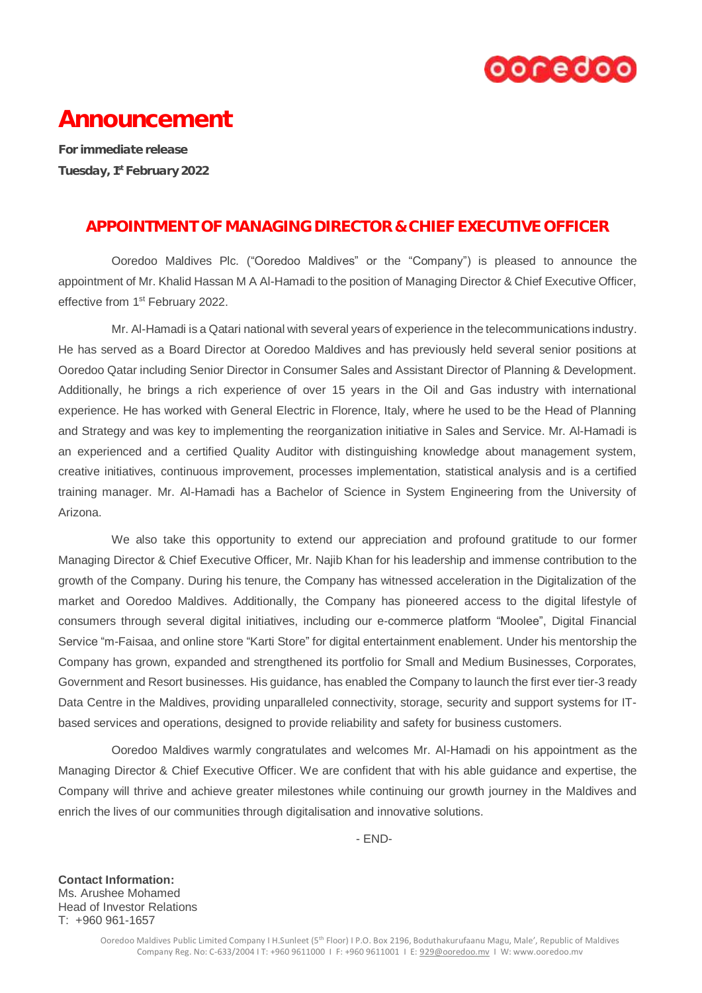

# Announcement

For immediate release Tuesday, 1st February 2022

## APPOINTMENT OF MANAGING DIRECTOR & CHIEF EXECUTIVE OFFICER

Ooredoo Maldives Plc. ("Ooredoo Maldives" or the "Company") is pleased to announce the appointment of Mr. Khalid Hassan M A Al-Hamadi to the position of Managing Director & Chief Executive Officer, effective from 1<sup>st</sup> February 2022.

Mr. Al-Hamadi is a Qatari national with several years of experience in the telecommunications industry. He has served as a Board Director at Ooredoo Maldives and has previously held several senior positions at Ooredoo Qatar including Senior Director in Consumer Sales and Assistant Director of Planning & Development. Additionally, he brings a rich experience of over 15 years in the Oil and Gas industry with international experience. He has worked with General Electric in Florence, Italy, where he used to be the Head of Planning and Strategy and was key to implementing the reorganization initiative in Sales and Service. Mr. Al-Hamadi is an experienced and a certified Quality Auditor with distinguishing knowledge about management system, creative initiatives, continuous improvement, processes implementation, statistical analysis and is a certified training manager. Mr. Al-Hamadi has a Bachelor of Science in System Engineering from the University of Arizona.

We also take this opportunity to extend our appreciation and profound gratitude to our former Managing Director & Chief Executive Officer, Mr. Najib Khan for his leadership and immense contribution to the growth of the Company. During his tenure, the Company has witnessed acceleration in the Digitalization of the market and Ooredoo Maldives. Additionally, the Company has pioneered access to the digital lifestyle of consumers through several digital initiatives, including our e-commerce platform "Moolee", Digital Financial Service "m-Faisaa, and online store "Karti Store" for digital entertainment enablement. Under his mentorship the Company has grown, expanded and strengthened its portfolio for Small and Medium Businesses, Corporates, Government and Resort businesses. His guidance, has enabled the Company to launch the first ever tier-3 ready Data Centre in the Maldives, providing unparalleled connectivity, storage, security and support systems for ITbased services and operations, designed to provide reliability and safety for business customers.

Ooredoo Maldives warmly congratulates and welcomes Mr. Al-Hamadi on his appointment as the Managing Director & Chief Executive Officer. We are confident that with his able guidance and expertise, the Company will thrive and achieve greater milestones while continuing our growth journey in the Maldives and enrich the lives of our communities through digitalisation and innovative solutions.

- END-

**Contact Information:** Ms. Arushee Mohamed Head of Investor Relations T: +960 961-1657